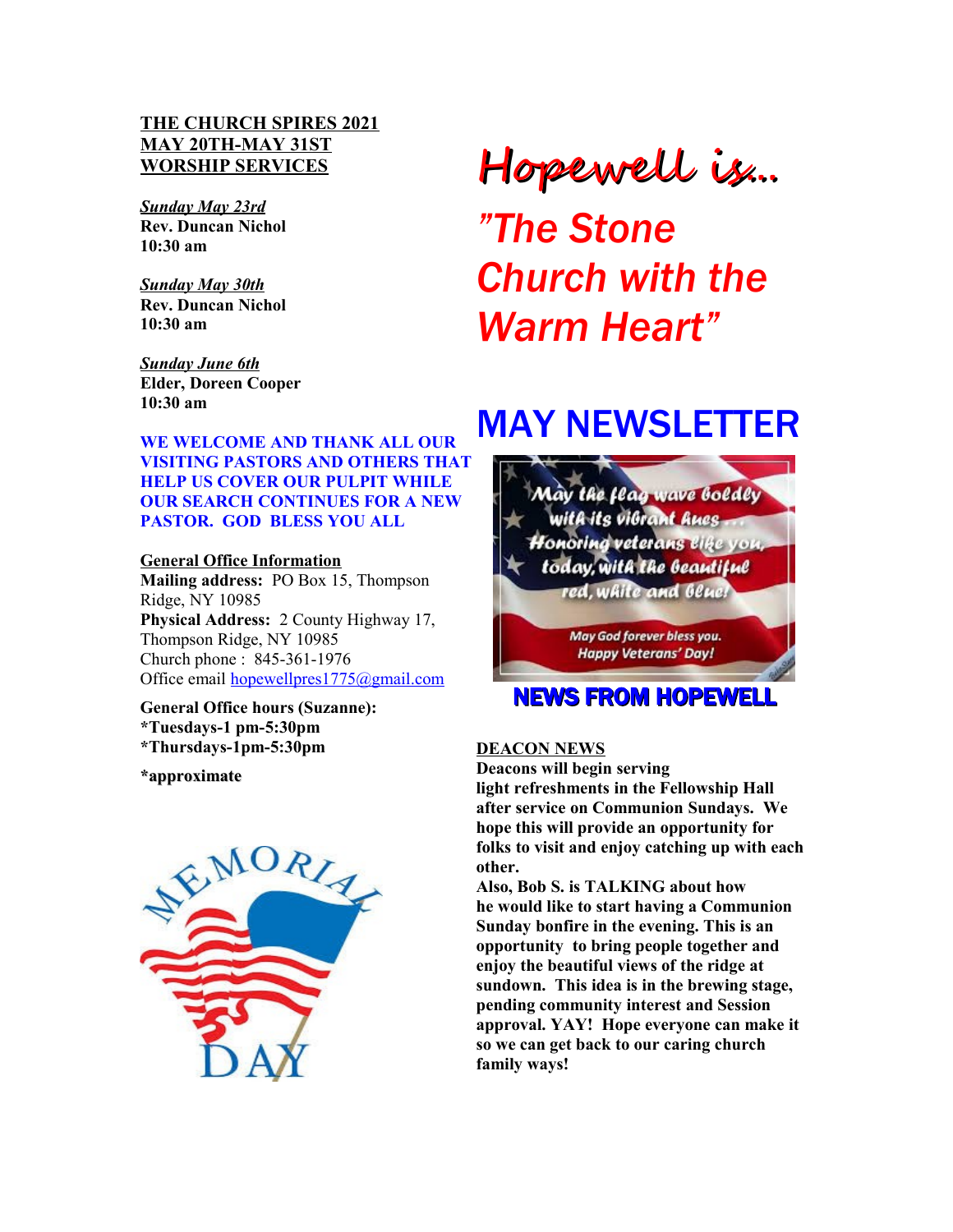# **THE CHURCH SPIRES 2021 MAY 20TH-MAY 31ST WORSHIP SERVICES**

*Sunday May 23rd* **Rev. Duncan Nichol 10:30 am**

*Sunday May 30th* **Rev. Duncan Nichol 10:30 am**

*Sunday June 6th* **Elder, Doreen Cooper 10:30 am**

**WE WELCOME AND THANK ALL OUR VISITING PASTORS AND OTHERS THAT HELP US COVER OUR PULPIT WHILE OUR SEARCH CONTINUES FOR A NEW PASTOR. GOD BLESS YOU ALL**

**General Office Information Mailing address:** PO Box 15, Thompson Ridge, NY 10985 **Physical Address:** 2 County Highway 17, Thompson Ridge, NY 10985 Church phone : 845-361-1976 Office email [hopewellpres1775@gmail.com](mailto:hopewellpres1775@gmail.com)

**General Office hours (Suzanne): \*Tuesdays-1 pm-5:30pm \*Thursdays-1pm-5:30pm** 

**\*approximate** 



# Hopewell is...

*"The Stone Church with the Warm Heart"*

# MAY NEWSLETTER



#### **DEACON NEWS**

**Deacons will begin serving light refreshments in the Fellowship Hall after service on Communion Sundays. We hope this will provide an opportunity for folks to visit and enjoy catching up with each other.**

**Also, Bob S. is TALKING about how he would like to start having a Communion Sunday bonfire in the evening. This is an opportunity to bring people together and enjoy the beautiful views of the ridge at sundown. This idea is in the brewing stage, pending community interest and Session approval. YAY! Hope everyone can make it so we can get back to our caring church family ways!**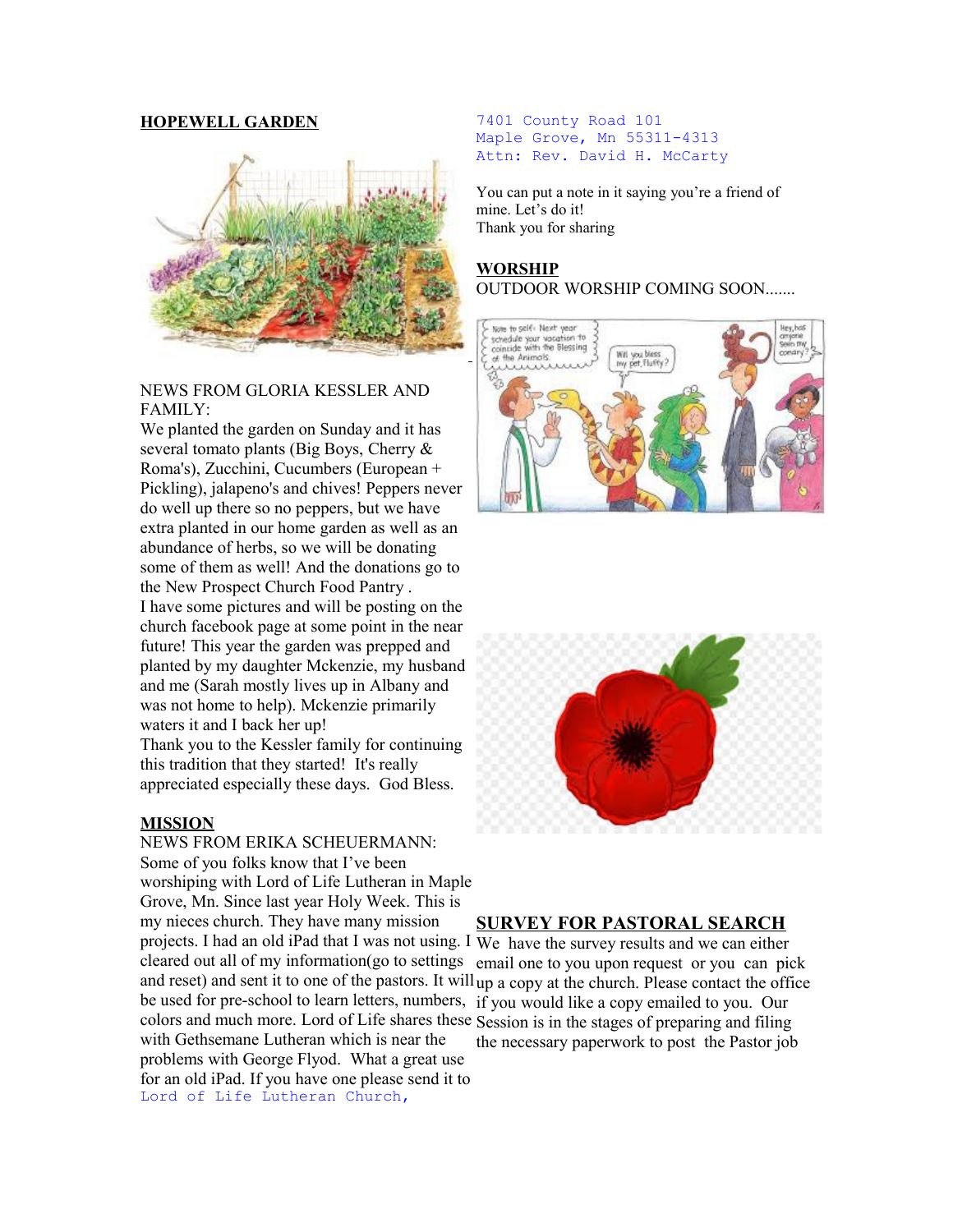#### **HOPEWELL GARDEN**



#### NEWS FROM GLORIA KESSLER AND FAMILY:

We planted the garden on Sunday and it has several tomato plants (Big Boys, Cherry & Roma's), Zucchini, Cucumbers (European + Pickling), jalapeno's and chives! Peppers never do well up there so no peppers, but we have extra planted in our home garden as well as an abundance of herbs, so we will be donating some of them as well! And the donations go to the New Prospect Church Food Pantry . I have some pictures and will be posting on the church facebook page at some point in the near future! This year the garden was prepped and planted by my daughter Mckenzie, my husband and me (Sarah mostly lives up in Albany and was not home to help). Mckenzie primarily waters it and I back her up! Thank you to the Kessler family for continuing this tradition that they started! It's really appreciated especially these days. God Bless.

#### **MISSION**

NEWS FROM ERIKA SCHEUERMANN: Some of you folks know that I've been worshiping with Lord of Life Lutheran in Maple Grove, Mn. Since last year Holy Week. This is my nieces church. They have many mission projects. I had an old iPad that I was not using. I We have the survey results and we can either cleared out all of my information(go to settings be used for pre-school to learn letters, numbers, if you would like a copy emailed to you. Our colors and much more. Lord of Life shares these Session is in the stages of preparing and filing with Gethsemane Lutheran which is near the problems with George Flyod. What a great use for an old iPad. If you have one please send it to Lord of Life Lutheran Church,

#### 7401 County Road 101 Maple Grove, Mn 55311-4313 Attn: Rev. David H. McCarty

You can put a note in it saying you're a friend of mine. Let's do it! Thank you for sharing

# **WORSHIP** OUTDOOR WORSHIP COMING SOON.......





#### **SURVEY FOR PASTORAL SEARCH**

and reset) and sent it to one of the pastors. It will up a copy at the church. Please contact the office email one to you upon request or you can pick the necessary paperwork to post the Pastor job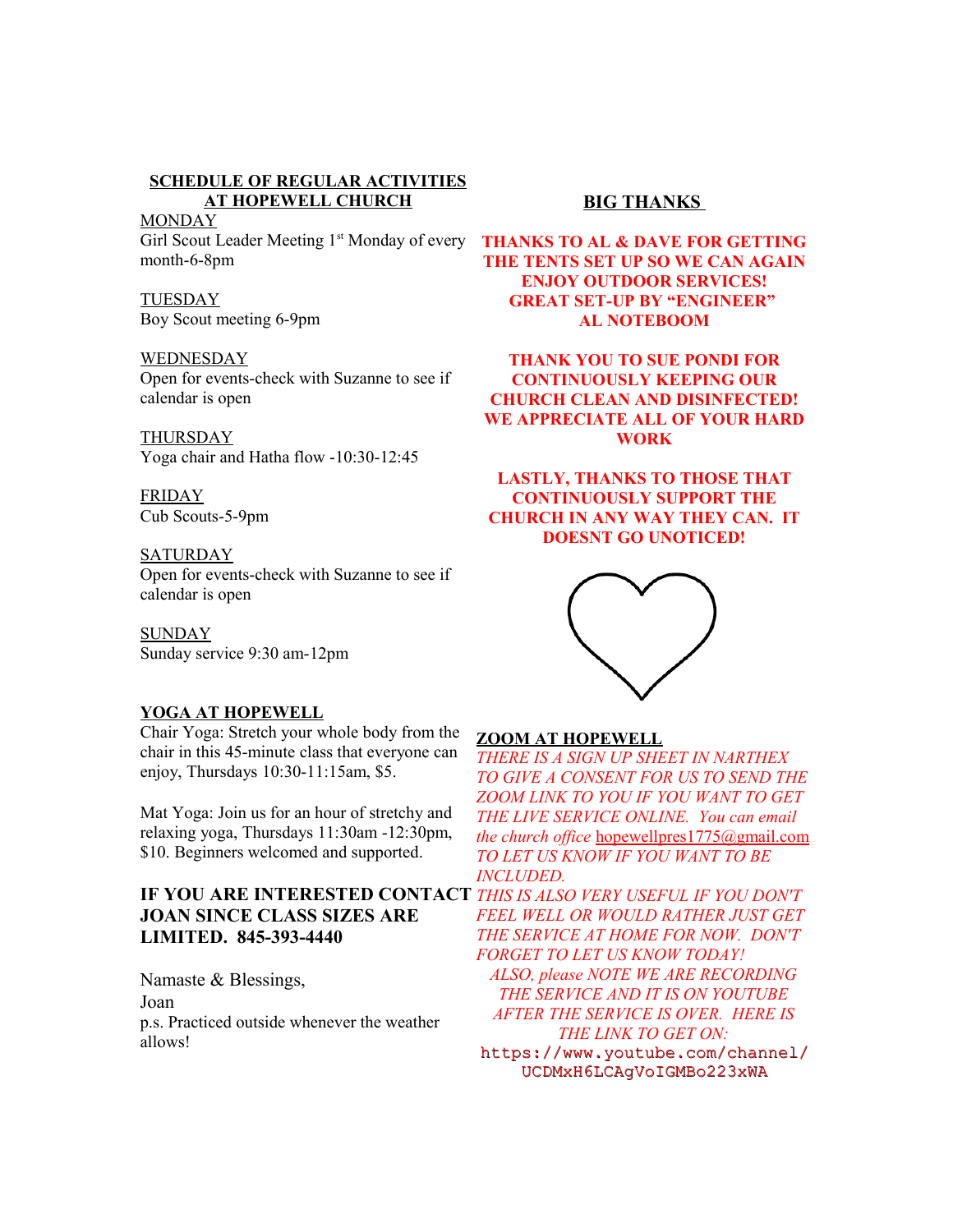# **SCHEDULE OF REGULAR ACTIVITIES AT HOPEWELL CHURCH**

**MONDAY** Girl Scout Leader Meeting 1<sup>st</sup> Monday of every month-6-8pm

### TUESDAY

Boy Scout meeting 6-9pm

#### WEDNESDAY

Open for events-check with Suzanne to see if calendar is open

**THURSDAY** Yoga chair and Hatha flow -10:30-12:45

FRIDAY Cub Scouts-5-9pm

#### **SATURDAY** Open for events-check with Suzanne to see if calendar is open

**SUNDAY** Sunday service 9:30 am-12pm

# **YOGA AT HOPEWELL**

Chair Yoga: Stretch your whole body from the chair in this 45-minute class that everyone can enjoy, Thursdays 10:30-11:15am, \$5.

Mat Yoga: Join us for an hour of stretchy and relaxing yoga, Thursdays 11:30am -12:30pm, \$10. Beginners welcomed and supported.

# **IF YOU ARE INTERESTED CONTACT** *THIS IS ALSO VERY USEFUL IF YOU DON'T*  **JOAN SINCE CLASS SIZES ARE LIMITED. 845-393-4440**

Namaste & Blessings, Joan p.s. Practiced outside whenever the weather allows!

# **BIG THANKS**

**THANKS TO AL & DAVE FOR GETTING THE TENTS SET UP SO WE CAN AGAIN ENJOY OUTDOOR SERVICES! GREAT SET-UP BY "ENGINEER" AL NOTEBOOM**

**THANK YOU TO SUE PONDI FOR CONTINUOUSLY KEEPING OUR CHURCH CLEAN AND DISINFECTED! WE APPRECIATE ALL OF YOUR HARD WORK**

**LASTLY, THANKS TO THOSE THAT CONTINUOUSLY SUPPORT THE CHURCH IN ANY WAY THEY CAN. IT DOESNT GO UNOTICED!**



# **ZOOM AT HOPEWELL**

*THERE IS A SIGN UP SHEET IN NARTHEX TO GIVE A CONSENT FOR US TO SEND THE ZOOM LINK TO YOU IF YOU WANT TO GET THE LIVE SERVICE ONLINE. You can email the church office* [hopewellpres1775@gmail.com](mailto:hopewellpres1775@gmail.com) *TO LET US KNOW IF YOU WANT TO BE INCLUDED.*

*FEEL WELL OR WOULD RATHER JUST GET THE SERVICE AT HOME FOR NOW. DON'T FORGET TO LET US KNOW TODAY! ALSO, please NOTE WE ARE RECORDING THE SERVICE AND IT IS ON YOUTUBE AFTER THE SERVICE IS OVER. HERE IS THE LINK TO GET ON:* [https://www.youtube.com/channel/](https://www.youtube.com/channel/UCDMxH6LCAgVoIGMBo223xWA) [UCDMxH6LCAgVoIGMBo223xWA](https://www.youtube.com/channel/UCDMxH6LCAgVoIGMBo223xWA)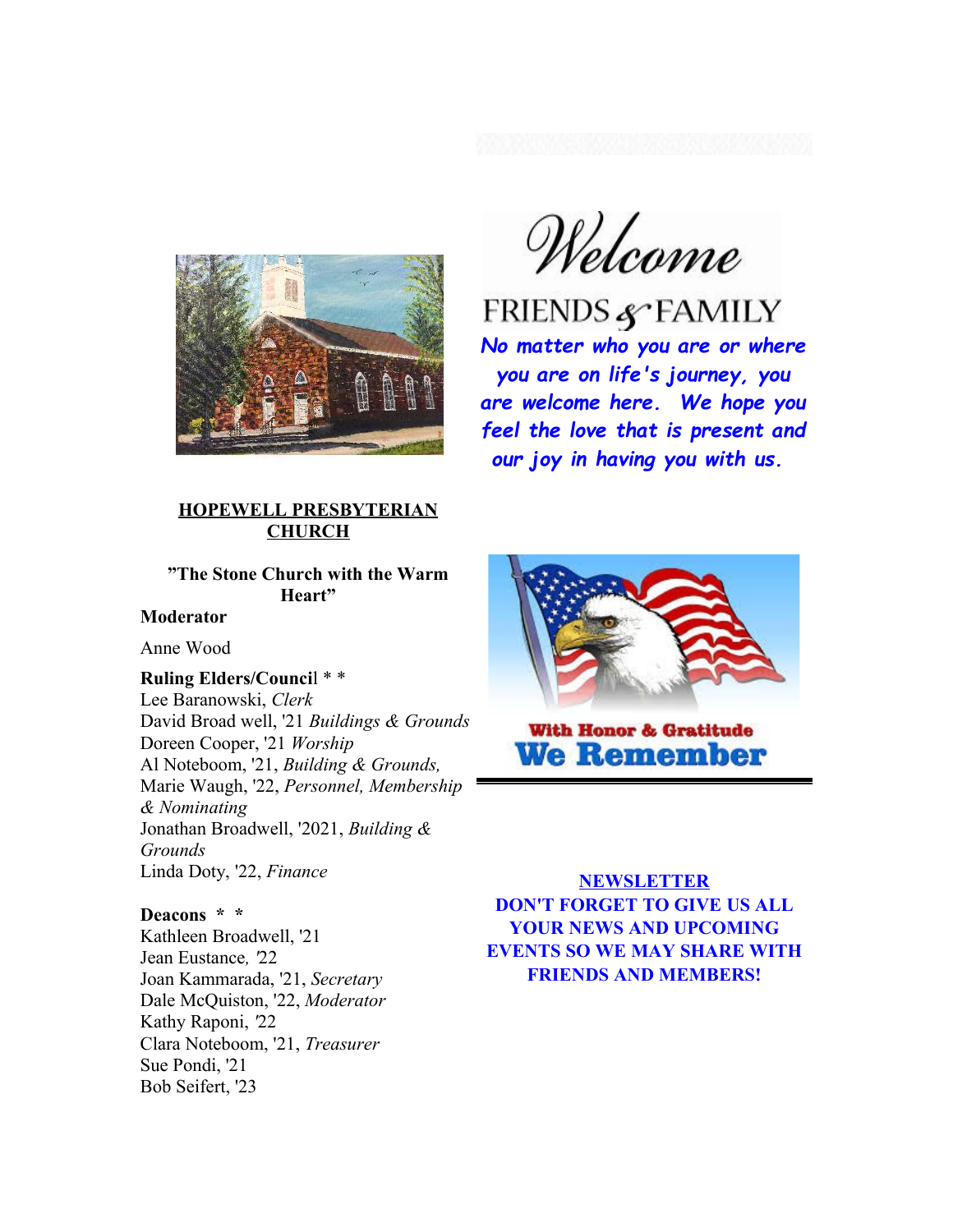

# **HOPEWELL PRESBYTERIAN CHURCH**

# **"The Stone Church with the Warm Heart"**

# **Moderator**

Anne Wood

#### **Ruling Elders/Counci**l \* \*

Lee Baranowski, *Clerk* David Broad well, '21 *Buildings & Grounds*  Doreen Cooper, '21 *Worship* Al Noteboom, '21, *Building & Grounds,*  Marie Waugh, '22, *Personnel, Membership & Nominating* Jonathan Broadwell, '2021, *Building & Grounds* Linda Doty, '22, *Finance*

#### **Deacons \* \***

Kathleen Broadwell, '21 Jean Eustance*, '*22 Joan Kammarada, '21, *Secretary*  Dale McQuiston, '22, *Moderator*  Kathy Raponi, *'*22 Clara Noteboom, '21, *Treasurer*  Sue Pondi, '21 Bob Seifert, '23

Welcome

*No matter who you are or where you are on life's journey, you are welcome here. We hope you feel the love that is present and our joy in having you with us.*



**With Honor & Gratitude We Remember** 

**NEWSLETTER DON'T FORGET TO GIVE US ALL YOUR NEWS AND UPCOMING EVENTS SO WE MAY SHARE WITH FRIENDS AND MEMBERS!**